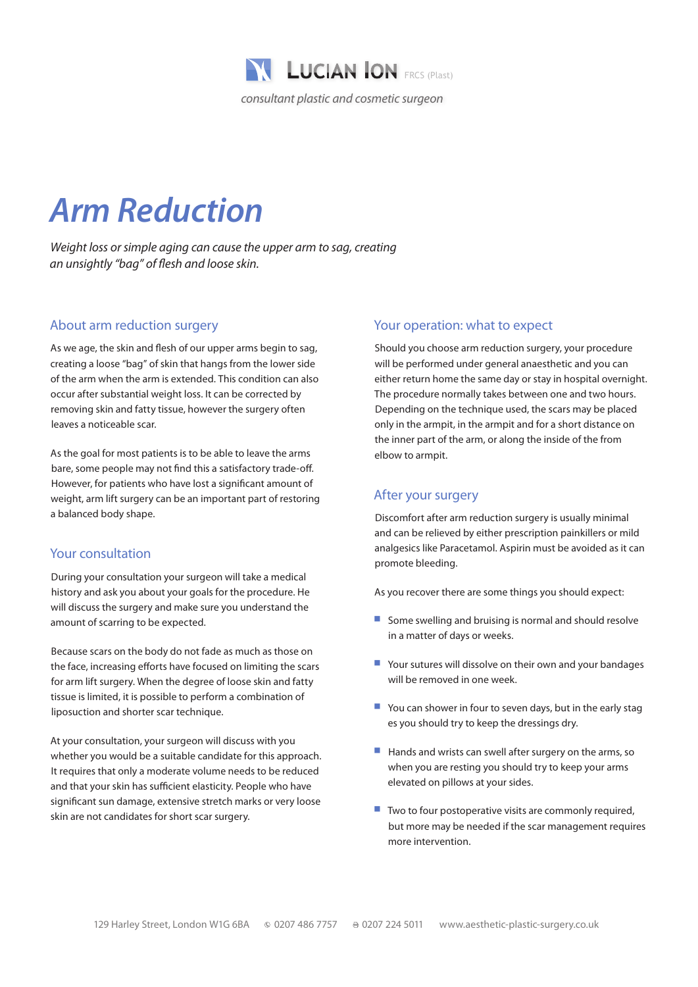

# *Arm Reduction*

*Weight loss or simple aging can cause the upper arm to sag, creating an unsightly "bag" of flesh and loose skin.*

#### About arm reduction surgery

As we age, the skin and flesh of our upper arms begin to sag, creating a loose "bag" of skin that hangs from the lower side of the arm when the arm is extended. This condition can also occur after substantial weight loss. It can be corrected by removing skin and fatty tissue, however the surgery often leaves a noticeable scar.

As the goal for most patients is to be able to leave the arms bare, some people may not find this a satisfactory trade-off. However, for patients who have lost a significant amount of weight, arm lift surgery can be an important part of restoring a balanced body shape.

## Your consultation

During your consultation your surgeon will take a medical history and ask you about your goals for the procedure. He will discuss the surgery and make sure you understand the amount of scarring to be expected.

Because scars on the body do not fade as much as those on the face, increasing efforts have focused on limiting the scars for arm lift surgery. When the degree of loose skin and fatty tissue is limited, it is possible to perform a combination of liposuction and shorter scar technique.

At your consultation, your surgeon will discuss with you whether you would be a suitable candidate for this approach. It requires that only a moderate volume needs to be reduced and that your skin has sufficient elasticity. People who have significant sun damage, extensive stretch marks or very loose skin are not candidates for short scar surgery.

#### Your operation: what to expect

Should you choose arm reduction surgery, your procedure will be performed under general anaesthetic and you can either return home the same day or stay in hospital overnight. The procedure normally takes between one and two hours. Depending on the technique used, the scars may be placed only in the armpit, in the armpit and for a short distance on the inner part of the arm, or along the inside of the from elbow to armpit.

## After your surgery

Discomfort after arm reduction surgery is usually minimal and can be relieved by either prescription painkillers or mild analgesics like Paracetamol. Aspirin must be avoided as it can promote bleeding.

As you recover there are some things you should expect:

- $\blacksquare$  Some swelling and bruising is normal and should resolve in a matter of days or weeks.
- $\blacksquare$  Your sutures will dissolve on their own and your bandages will be removed in one week
- $\blacksquare$  You can shower in four to seven days, but in the early stag es you should try to keep the dressings dry.
- Hands and wrists can swell after surgery on the arms, so when you are resting you should try to keep your arms elevated on pillows at your sides.
- Two to four postoperative visits are commonly required, but more may be needed if the scar management requires more intervention.